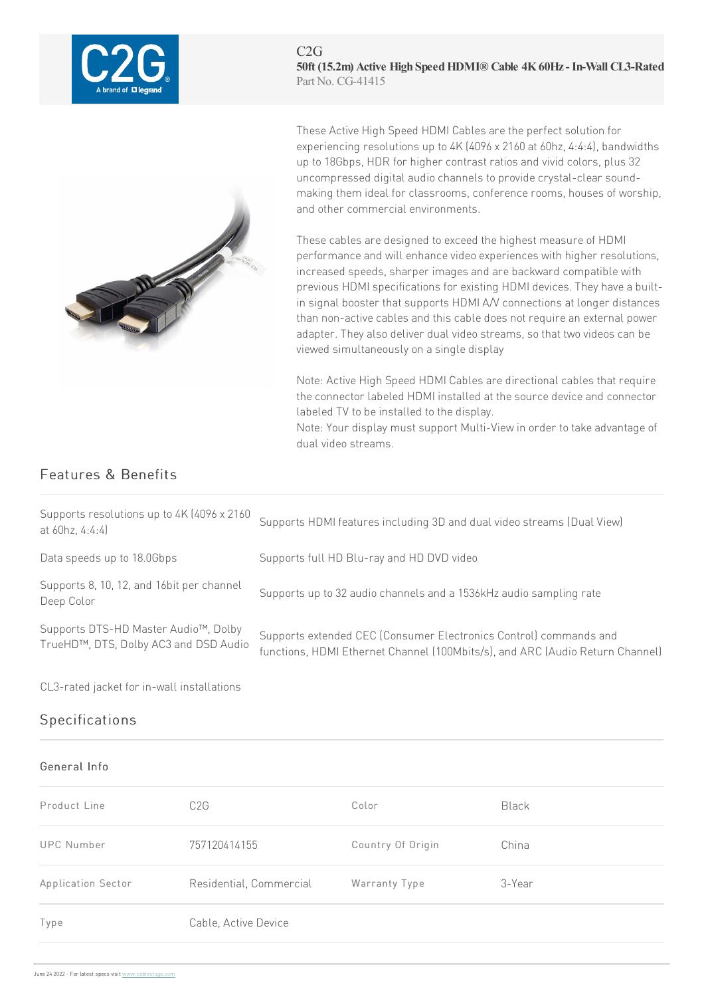

C2G **50ft (15.2m) Active High SpeedHDMI® Cable 4K60Hz- In-Wall CL3-Rated** Part No. CG-41415



These Active High Speed HDMI Cables are the perfect solution for experiencing resolutions up to 4K (4096 x 2160 at 60hz, 4:4:4), bandwidths up to 18Gbps, HDR for higher contrast ratios and vivid colors, plus 32 uncompressed digital audiochannels toprovidecrystal-clear soundmaking them ideal for classrooms, conference rooms, houses of worship, and other commercial environments.

These cables are designed to exceed the highest measure of HDMI performance and will enhance video experiences with higher resolutions, increased speeds, sharper images and are backward compatible with previous HDMI specifications for existing HDMI devices. They have a builtin signal booster that supports HDMI A/V connections at longer distances than non-active cables and this cable does not require an external power adapter. They also deliver dual video streams, so that two videos can be viewed simultaneously on a single display

Note: Active High Speed HDMI Cables are directional cables that require the connector labeled HDMI installed at the source device and connector labeled TV to be installed to the display.

Note: Your display must support Multi-View in order to take advantage of dual video streams.

## Features & Benefits

| Supports resolutions up to 4K (4096 x 2160)<br>at $60hz$ , $4:4:4$            | Supports HDMI features including 3D and dual video streams (Dual View)                                                                             |
|-------------------------------------------------------------------------------|----------------------------------------------------------------------------------------------------------------------------------------------------|
| Data speeds up to 18.0Gbps                                                    | Supports full HD Blu-ray and HD DVD video                                                                                                          |
| Supports 8, 10, 12, and 16bit per channel<br>Deep Color                       | Supports up to 32 audio channels and a 1536kHz audio sampling rate                                                                                 |
| Supports DTS-HD Master Audio™, Dolby<br>TrueHD™, DTS, Dolby AC3 and DSD Audio | Supports extended CEC (Consumer Electronics Control) commands and<br>functions, HDMI Ethernet Channel (100Mbits/s), and ARC (Audio Return Channel) |

CL3-rated jacket for in-wall installations

## Specifications

## General Info

| Product Line       | C <sub>2</sub> G        | Color             | Black  |
|--------------------|-------------------------|-------------------|--------|
| <b>UPC Number</b>  | 757120414155            | Country Of Origin | China  |
| Application Sector | Residential, Commercial | Warranty Type     | 3-Year |
| Type               | Cable, Active Device    |                   |        |